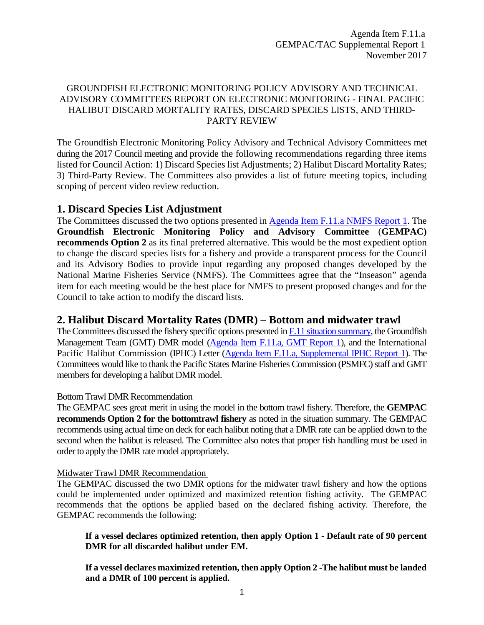### GROUNDFISH ELECTRONIC MONITORING POLICY ADVISORY AND TECHNICAL ADVISORY COMMITTEES REPORT ON ELECTRONIC MONITORING - FINAL PACIFIC HALIBUT DISCARD MORTALITY RATES, DISCARD SPECIES LISTS, AND THIRD-PARTY REVIEW

The Groundfish Electronic Monitoring Policy Advisory and Technical Advisory Committees met during the 2017 Council meeting and provide the following recommendations regarding three items listed for Council Action: 1) Discard Species list Adjustments; 2) Halibut Discard Mortality Rates; 3) Third-Party Review. The Committees also provides a list of future meeting topics, including scoping of percent video review reduction.

## **1. Discard Species List Adjustment**

The Committees discussed the two options presented in [Agenda Item F.11.a NMFS Report 1.](http://www.pcouncil.org/wp-content/uploads/2017/10/F11a_NMFS_Rpt1_discard_species_list_NOV2017BB.pdf) The **Groundfish Electronic Monitoring Policy and Advisory Committee** (**GEMPAC) recommends Option 2** as its final preferred alternative. This would be the most expedient option to change the discard species lists for a fishery and provide a transparent process for the Council and its Advisory Bodies to provide input regarding any proposed changes developed by the National Marine Fisheries Service (NMFS). The Committees agree that the "Inseason" agenda item for each meeting would be the best place for NMFS to present proposed changes and for the Council to take action to modify the discard lists.

## **2. Halibut Discard Mortality Rates (DMR) – Bottom and midwater trawl**

The Committees discussed the fishery specific options presented in [F.11 situation summary,](http://www.pcouncil.org/wp-content/uploads/2017/10/F11__SitSum_EM_NOV2017BB.pdf) the Groundfish Management Team (GMT) DMR model [\(Agenda Item F.11.a,](http://www.pcouncil.org/wp-content/uploads/2017/10/F11a_GMT_Rpt1_NOV2017BB.pdf) GMT Report 1), and the International Pacific Halibut Commission (IPHC) Letter [\(Agenda Item F.11.a, Supplemental IPHC Report 1\)](https://www.pcouncil.org/wp-content/uploads/2017/11/F11a_Sup_IPHC_Rpt1_NOV2017BB.pdf). The Committees would like to thank the Pacific States Marine Fisheries Commission (PSMFC) staff and GMT members for developing a halibut DMR model.

### Bottom Trawl DMR Recommendation

The GEMPAC sees great merit in using the model in the bottom trawl fishery. Therefore, the **GEMPAC recommends Option 2 for the bottomtrawl fishery** as noted in the situation summary. The GEMPAC recommends using actual time on deck for each halibut noting that a DMR rate can be applied down to the second when the halibut is released. The Committee also notes that proper fish handling must be used in order to apply the DMR rate model appropriately.

### Midwater Trawl DMR Recommendation

The GEMPAC discussed the two DMR options for the midwater trawl fishery and how the options could be implemented under optimized and maximized retention fishing activity. The GEMPAC recommends that the options be applied based on the declared fishing activity. Therefore, the GEMPAC recommends the following:

**If a vessel declares optimized retention, then apply Option 1 - Default rate of 90 percent DMR for all discarded halibut under EM.**

**If a vessel declares maximized retention, then apply Option 2 -The halibut must be landed and a DMR of 100 percent is applied.**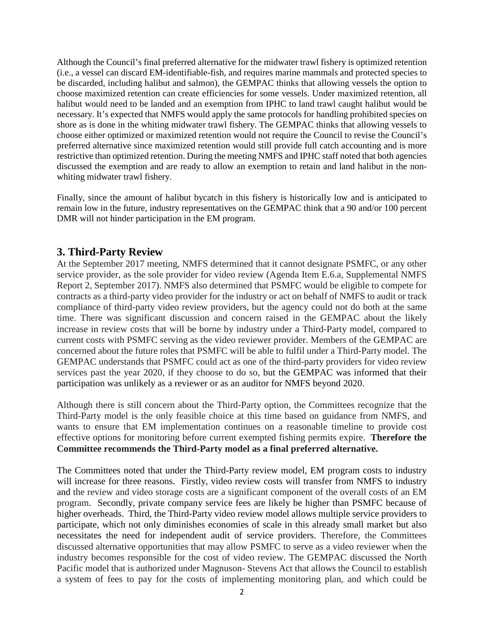Although the Council's final preferred alternative for the midwater trawl fishery is optimized retention (i.e., a vessel can discard EM-identifiable-fish, and requires marine mammals and protected species to be discarded, including halibut and salmon), the GEMPAC thinks that allowing vessels the option to choose maximized retention can create efficiencies for some vessels. Under maximized retention, all halibut would need to be landed and an exemption from IPHC to land trawl caught halibut would be necessary. It's expected that NMFS would apply the same protocols for handling prohibited species on shore as is done in the whiting midwater trawl fishery. The GEMPAC thinks that allowing vessels to choose either optimized or maximized retention would not require the Council to revise the Council's preferred alternative since maximized retention would still provide full catch accounting and is more restrictive than optimized retention. During the meeting NMFS and IPHC staff noted that both agencies discussed the exemption and are ready to allow an exemption to retain and land halibut in the nonwhiting midwater trawl fishery.

Finally, since the amount of halibut bycatch in this fishery is historically low and is anticipated to remain low in the future, industry representatives on the GEMPAC think that a 90 and/or 100 percent DMR will not hinder participation in the EM program.

# **3. Third-Party Review**

At the September 2017 meeting, NMFS determined that it cannot designate PSMFC, or any other service provider, as the sole provider for video review (Agenda Item E.6.a, Supplemental NMFS Report 2, September 2017). NMFS also determined that PSMFC would be eligible to compete for contracts as a third-party video provider for the industry or act on behalf of NMFS to audit or track compliance of third-party video review providers, but the agency could not do both at the same time. There was significant discussion and concern raised in the GEMPAC about the likely increase in review costs that will be borne by industry under a Third-Party model, compared to current costs with PSMFC serving as the video reviewer provider. Members of the GEMPAC are concerned about the future roles that PSMFC will be able to fulfil under a Third-Party model. The GEMPAC understands that PSMFC could act as one of the third-party providers for video review services past the year 2020, if they choose to do so, but the GEMPAC was informed that their participation was unlikely as a reviewer or as an auditor for NMFS beyond 2020.

Although there is still concern about the Third-Party option, the Committees recognize that the Third-Party model is the only feasible choice at this time based on guidance from NMFS, and wants to ensure that EM implementation continues on a reasonable timeline to provide cost effective options for monitoring before current exempted fishing permits expire. **Therefore the Committee recommends the Third-Party model as a final preferred alternative.**

The Committees noted that under the Third-Party review model, EM program costs to industry will increase for three reasons. Firstly, video review costs will transfer from NMFS to industry and the review and video storage costs are a significant component of the overall costs of an EM program. Secondly, private company service fees are likely be higher than PSMFC because of higher overheads. Third, the Third-Party video review model allows multiple service providers to participate, which not only diminishes economies of scale in this already small market but also necessitates the need for independent audit of service providers. Therefore, the Committees discussed alternative opportunities that may allow PSMFC to serve as a video reviewer when the industry becomes responsible for the cost of video review. The GEMPAC discussed the North Pacific model that is authorized under Magnuson- Stevens Act that allows the Council to establish a system of fees to pay for the costs of implementing monitoring plan, and which could be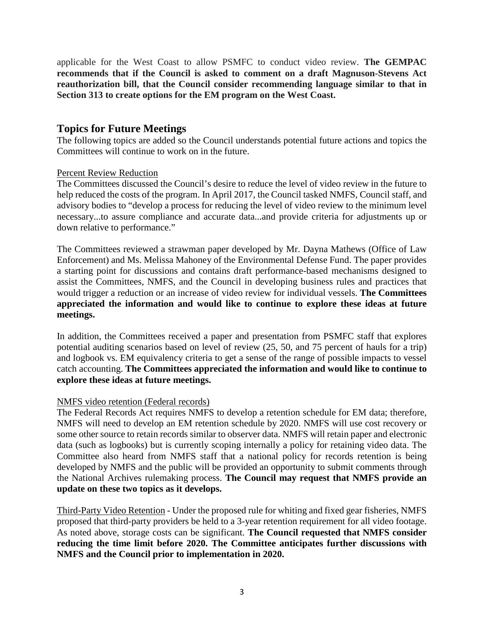applicable for the West Coast to allow PSMFC to conduct video review. **The GEMPAC recommends that if the Council is asked to comment on a draft Magnuson-Stevens Act reauthorization bill, that the Council consider recommending language similar to that in Section 313 to create options for the EM program on the West Coast.**

## **Topics for Future Meetings**

The following topics are added so the Council understands potential future actions and topics the Committees will continue to work on in the future.

### Percent Review Reduction

The Committees discussed the Council's desire to reduce the level of video review in the future to help reduced the costs of the program. In April 2017, the Council tasked NMFS, Council staff, and advisory bodies to "develop a process for reducing the level of video review to the minimum level necessary...to assure compliance and accurate data...and provide criteria for adjustments up or down relative to performance."

The Committees reviewed a strawman paper developed by Mr. Dayna Mathews (Office of Law Enforcement) and Ms. Melissa Mahoney of the Environmental Defense Fund. The paper provides a starting point for discussions and contains draft performance-based mechanisms designed to assist the Committees, NMFS, and the Council in developing business rules and practices that would trigger a reduction or an increase of video review for individual vessels. **The Committees appreciated the information and would like to continue to explore these ideas at future meetings.**

In addition, the Committees received a paper and presentation from PSMFC staff that explores potential auditing scenarios based on level of review (25, 50, and 75 percent of hauls for a trip) and logbook vs. EM equivalency criteria to get a sense of the range of possible impacts to vessel catch accounting. **The Committees appreciated the information and would like to continue to explore these ideas at future meetings.**

### NMFS video retention (Federal records)

The Federal Records Act requires NMFS to develop a retention schedule for EM data; therefore, NMFS will need to develop an EM retention schedule by 2020. NMFS will use cost recovery or some other source to retain records similar to observer data. NMFS will retain paper and electronic data (such as logbooks) but is currently scoping internally a policy for retaining video data. The Committee also heard from NMFS staff that a national policy for records retention is being developed by NMFS and the public will be provided an opportunity to submit comments through the National Archives rulemaking process. **The Council may request that NMFS provide an update on these two topics as it develops.** 

Third-Party Video Retention - Under the proposed rule for whiting and fixed gear fisheries, NMFS proposed that third-party providers be held to a 3-year retention requirement for all video footage. As noted above, storage costs can be significant. **The Council requested that NMFS consider reducing the time limit before 2020. The Committee anticipates further discussions with NMFS and the Council prior to implementation in 2020.**